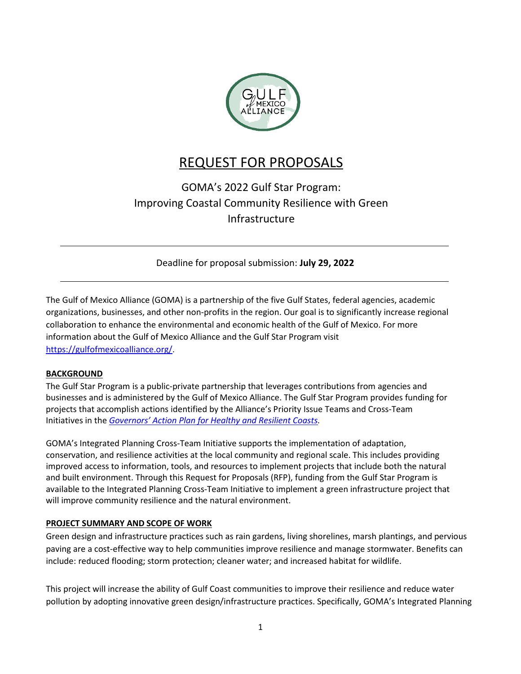

# REQUEST FOR PROPOSALS

## GOMA's 2022 Gulf Star Program: Improving Coastal Community Resilience with Green Infrastructure

Deadline for proposal submission: **July 29, 2022**

The Gulf of Mexico Alliance (GOMA) is a partnership of the five Gulf States, federal agencies, academic organizations, businesses, and other non-profits in the region. Our goal is to significantly increase regional collaboration to enhance the environmental and economic health of the Gulf of Mexico. For more information about the Gulf of Mexico Alliance and the Gulf Star Program visit [https://gulfofmexicoalliance.org/.](https://gulfofmexicoalliance.org/)

## **BACKGROUND**

The Gulf Star Program is a public-private partnership that leverages contributions from agencies and businesses and is administered by the Gulf of Mexico Alliance. The Gulf Star Program provides funding for projects that accomplish actions identified by the Alliance's Priority Issue Teams and Cross-Team Initiatives in the *[Governors' Action Plan for Healthy and Resilient Coasts.](https://gulfofmexicoalliance.org/what-we-do/governors-action-plan/)*

GOMA's Integrated Planning Cross-Team Initiative supports the implementation of adaptation, conservation, and resilience activities at the local community and regional scale. This includes providing improved access to information, tools, and resources to implement projects that include both the natural and built environment. Through this Request for Proposals (RFP), funding from the Gulf Star Program is available to the Integrated Planning Cross-Team Initiative to implement a green infrastructure project that will improve community resilience and the natural environment.

## **PROJECT SUMMARY AND SCOPE OF WORK**

Green design and infrastructure practices such as rain gardens, living shorelines, marsh plantings, and pervious paving are a cost-effective way to help communities improve resilience and manage stormwater. Benefits can include: reduced flooding; storm protection; cleaner water; and increased habitat for wildlife.

This project will increase the ability of Gulf Coast communities to improve their resilience and reduce water pollution by adopting innovative green design/infrastructure practices. Specifically, GOMA's Integrated Planning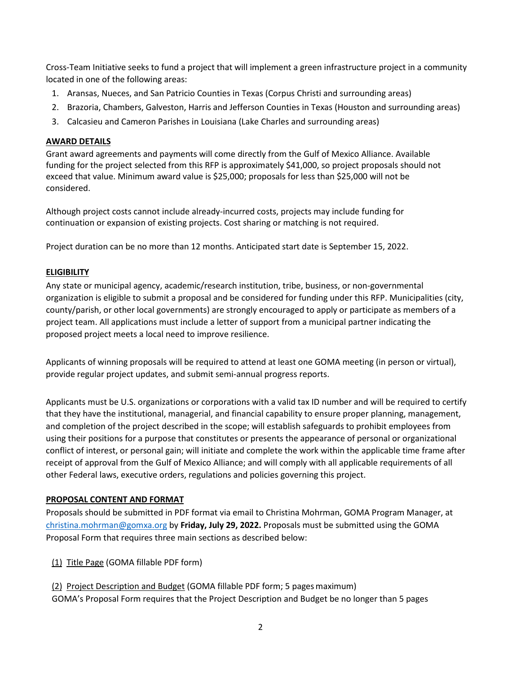Cross-Team Initiative seeks to fund a project that will implement a green infrastructure project in a community located in one of the following areas:

- 1. Aransas, Nueces, and San Patricio Counties in Texas (Corpus Christi and surrounding areas)
- 2. Brazoria, Chambers, Galveston, Harris and Jefferson Counties in Texas (Houston and surrounding areas)
- 3. Calcasieu and Cameron Parishes in Louisiana (Lake Charles and surrounding areas)

#### **AWARD DETAILS**

Grant award agreements and payments will come directly from the Gulf of Mexico Alliance. Available funding for the project selected from this RFP is approximately \$41,000, so project proposals should not exceed that value. Minimum award value is \$25,000; proposals for less than \$25,000 will not be considered.

Although project costs cannot include already-incurred costs, projects may include funding for continuation or expansion of existing projects. Cost sharing or matching is not required.

Project duration can be no more than 12 months. Anticipated start date is September 15, 2022.

## **ELIGIBILITY**

Any state or municipal agency, academic/research institution, tribe, business, or non-governmental organization is eligible to submit a proposal and be considered for funding under this RFP. Municipalities (city, county/parish, or other local governments) are strongly encouraged to apply or participate as members of a project team. All applications must include a letter of support from a municipal partner indicating the proposed project meets a local need to improve resilience.

Applicants of winning proposals will be required to attend at least one GOMA meeting (in person or virtual), provide regular project updates, and submit semi-annual progress reports.

Applicants must be U.S. organizations or corporations with a valid tax ID number and will be required to certify that they have the institutional, managerial, and financial capability to ensure proper planning, management, and completion of the project described in the scope; will establish safeguards to prohibit employees from using their positions for a purpose that constitutes or presents the appearance of personal or organizational conflict of interest, or personal gain; will initiate and complete the work within the applicable time frame after receipt of approval from the Gulf of Mexico Alliance; and will comply with all applicable requirements of all other Federal laws, executive orders, regulations and policies governing this project.

#### **PROPOSAL CONTENT AND FORMAT**

Proposals should be submitted in PDF format via email to Christina Mohrman, GOMA Program Manager, at [christina.mohrman@gomxa.org](mailto:christina.mohrman@gomxa.org) by **Friday, July 29, 2022.** Proposals must be submitted using the GOMA Proposal Form that requires three main sections as described below:

- (1) Title Page (GOMA fillable PDF form)
- (2) Project Description and Budget (GOMA fillable PDF form; 5 pagesmaximum) GOMA's Proposal Form requires that the Project Description and Budget be no longer than 5 pages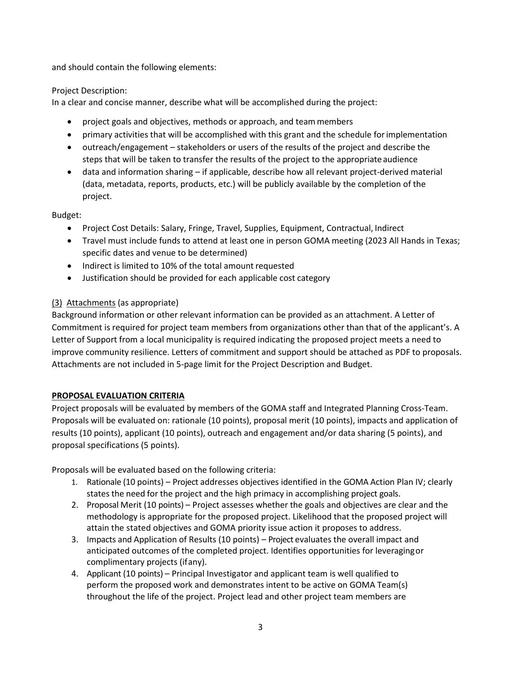and should contain the following elements:

Project Description:

In a clear and concise manner, describe what will be accomplished during the project:

- project goals and objectives, methods or approach, and team members
- primary activities that will be accomplished with this grant and the schedule forimplementation
- outreach/engagement stakeholders or users of the results of the project and describe the steps that will be taken to transfer the results of the project to the appropriate audience
- data and information sharing if applicable, describe how all relevant project-derived material (data, metadata, reports, products, etc.) will be publicly available by the completion of the project.

Budget:

- Project Cost Details: Salary, Fringe, Travel, Supplies, Equipment, Contractual, Indirect
- Travel must include funds to attend at least one in person GOMA meeting (2023 All Hands in Texas; specific dates and venue to be determined)
- Indirect is limited to 10% of the total amount requested
- Justification should be provided for each applicable cost category

## (3) Attachments (as appropriate)

Background information or other relevant information can be provided as an attachment. A Letter of Commitment is required for project team members from organizations other than that of the applicant's. A Letter of Support from a local municipality is required indicating the proposed project meets a need to improve community resilience. Letters of commitment and support should be attached as PDF to proposals. Attachments are not included in 5-page limit for the Project Description and Budget.

## **PROPOSAL EVALUATION CRITERIA**

Project proposals will be evaluated by members of the GOMA staff and Integrated Planning Cross-Team. Proposals will be evaluated on: rationale (10 points), proposal merit (10 points), impacts and application of results (10 points), applicant (10 points), outreach and engagement and/or data sharing (5 points), and proposal specifications (5 points).

Proposals will be evaluated based on the following criteria:

- 1. Rationale (10 points) Project addresses objectives identified in the GOMA Action Plan IV; clearly states the need for the project and the high primacy in accomplishing project goals.
- 2. Proposal Merit (10 points) Project assesses whether the goals and objectives are clear and the methodology is appropriate for the proposed project. Likelihood that the proposed project will attain the stated objectives and GOMA priority issue action it proposes to address.
- 3. Impacts and Application of Results (10 points) Project evaluates the overall impact and anticipated outcomes of the completed project. Identifies opportunities for leveragingor complimentary projects (ifany).
- 4. Applicant (10 points) Principal Investigator and applicant team is well qualified to perform the proposed work and demonstrates intent to be active on GOMA Team(s) throughout the life of the project. Project lead and other project team members are